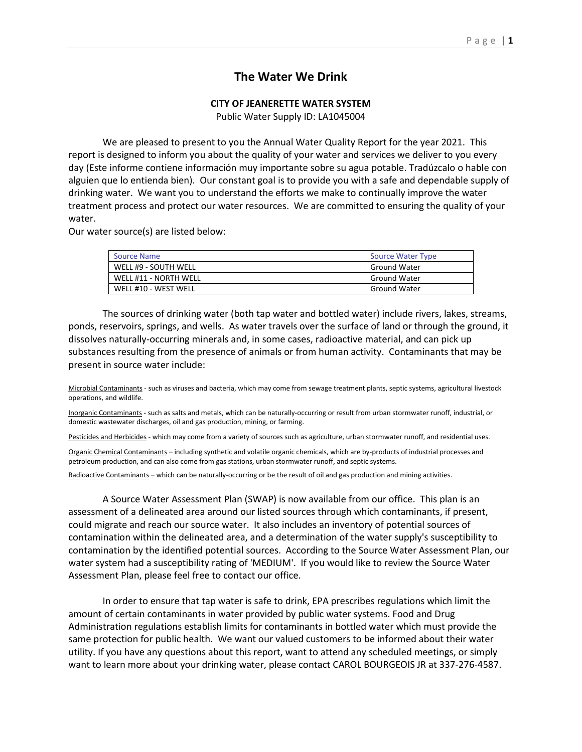# **The Water We Drink**

## **CITY OF JEANERETTE WATER SYSTEM**

Public Water Supply ID: LA1045004

We are pleased to present to you the Annual Water Quality Report for the year 2021. This report is designed to inform you about the quality of your water and services we deliver to you every day (Este informe contiene información muy importante sobre su agua potable. Tradúzcalo o hable con alguien que lo entienda bien). Our constant goal is to provide you with a safe and dependable supply of drinking water. We want you to understand the efforts we make to continually improve the water treatment process and protect our water resources. We are committed to ensuring the quality of your water.

Our water source(s) are listed below:

| Source Name           | <b>Source Water Type</b> |
|-----------------------|--------------------------|
| WELL #9 - SOUTH WELL  | <b>Ground Water</b>      |
| WELL #11 - NORTH WELL | <b>Ground Water</b>      |
| WELL #10 - WEST WELL  | <b>Ground Water</b>      |

The sources of drinking water (both tap water and bottled water) include rivers, lakes, streams, ponds, reservoirs, springs, and wells. As water travels over the surface of land or through the ground, it dissolves naturally-occurring minerals and, in some cases, radioactive material, and can pick up substances resulting from the presence of animals or from human activity. Contaminants that may be present in source water include:

Microbial Contaminants - such as viruses and bacteria, which may come from sewage treatment plants, septic systems, agricultural livestock operations, and wildlife.

Inorganic Contaminants - such as salts and metals, which can be naturally-occurring or result from urban stormwater runoff, industrial, or domestic wastewater discharges, oil and gas production, mining, or farming.

Pesticides and Herbicides - which may come from a variety of sources such as agriculture, urban stormwater runoff, and residential uses.

Organic Chemical Contaminants – including synthetic and volatile organic chemicals, which are by-products of industrial processes and petroleum production, and can also come from gas stations, urban stormwater runoff, and septic systems.

Radioactive Contaminants – which can be naturally-occurring or be the result of oil and gas production and mining activities.

A Source Water Assessment Plan (SWAP) is now available from our office. This plan is an assessment of a delineated area around our listed sources through which contaminants, if present, could migrate and reach our source water. It also includes an inventory of potential sources of contamination within the delineated area, and a determination of the water supply's susceptibility to contamination by the identified potential sources. According to the Source Water Assessment Plan, our water system had a susceptibility rating of 'MEDIUM'. If you would like to review the Source Water Assessment Plan, please feel free to contact our office.

In order to ensure that tap water is safe to drink, EPA prescribes regulations which limit the amount of certain contaminants in water provided by public water systems. Food and Drug Administration regulations establish limits for contaminants in bottled water which must provide the same protection for public health. We want our valued customers to be informed about their water utility. If you have any questions about this report, want to attend any scheduled meetings, or simply want to learn more about your drinking water, please contact CAROL BOURGEOIS JR at 337-276-4587.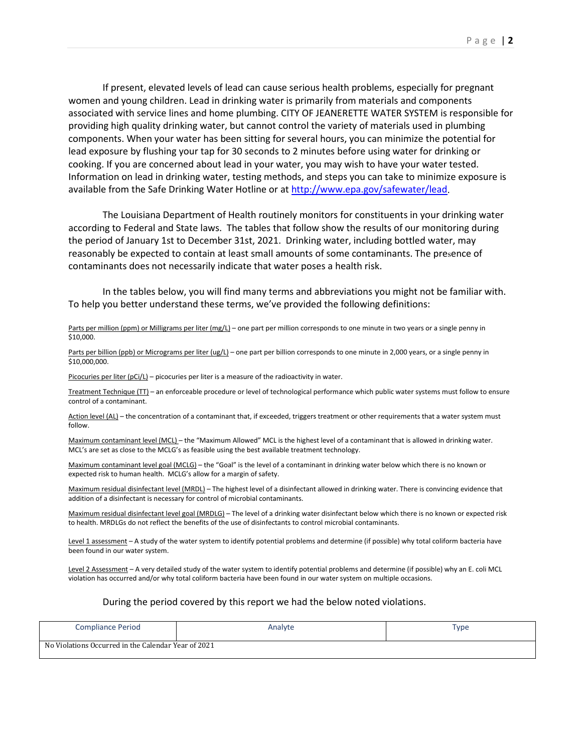If present, elevated levels of lead can cause serious health problems, especially for pregnant women and young children. Lead in drinking water is primarily from materials and components associated with service lines and home plumbing. CITY OF JEANERETTE WATER SYSTEM is responsible for providing high quality drinking water, but cannot control the variety of materials used in plumbing components. When your water has been sitting for several hours, you can minimize the potential for lead exposure by flushing your tap for 30 seconds to 2 minutes before using water for drinking or cooking. If you are concerned about lead in your water, you may wish to have your water tested. Information on lead in drinking water, testing methods, and steps you can take to minimize exposure is available from the Safe Drinking Water Hotline or a[t http://www.epa.gov/safewater/lead.](http://www.epa.gov/safewater/lead)

The Louisiana Department of Health routinely monitors for constituents in your drinking water according to Federal and State laws. The tables that follow show the results of our monitoring during the period of January 1st to December 31st, 2021. Drinking water, including bottled water, may reasonably be expected to contain at least small amounts of some contaminants. The presence of contaminants does not necessarily indicate that water poses a health risk.

In the tables below, you will find many terms and abbreviations you might not be familiar with. To help you better understand these terms, we've provided the following definitions:

#### Parts per million (ppm) or Milligrams per liter (mg/L) – one part per million corresponds to one minute in two years or a single penny in \$10,000.

Parts per billion (ppb) or Micrograms per liter (ug/L) – one part per billion corresponds to one minute in 2,000 years, or a single penny in \$10,000,000.

Picocuries per liter (pCi/L) – picocuries per liter is a measure of the radioactivity in water.

Treatment Technique (TT) – an enforceable procedure or level of technological performance which public water systems must follow to ensure control of a contaminant.

Action level (AL) – the concentration of a contaminant that, if exceeded, triggers treatment or other requirements that a water system must follow.

Maximum contaminant level (MCL) – the "Maximum Allowed" MCL is the highest level of a contaminant that is allowed in drinking water. MCL's are set as close to the MCLG's as feasible using the best available treatment technology.

Maximum contaminant level goal (MCLG) – the "Goal" is the level of a contaminant in drinking water below which there is no known or expected risk to human health. MCLG's allow for a margin of safety.

Maximum residual disinfectant level (MRDL) – The highest level of a disinfectant allowed in drinking water. There is convincing evidence that addition of a disinfectant is necessary for control of microbial contaminants.

Maximum residual disinfectant level goal (MRDLG) – The level of a drinking water disinfectant below which there is no known or expected risk to health. MRDLGs do not reflect the benefits of the use of disinfectants to control microbial contaminants.

Level 1 assessment – A study of the water system to identify potential problems and determine (if possible) why total coliform bacteria have been found in our water system.

Level 2 Assessment - A very detailed study of the water system to identify potential problems and determine (if possible) why an E. coli MCL violation has occurred and/or why total coliform bacteria have been found in our water system on multiple occasions.

#### During the period covered by this report we had the below noted violations.

| <b>Compliance Period</b>                            | Analyte | Type |
|-----------------------------------------------------|---------|------|
| No Violations Occurred in the Calendar Year of 2021 |         |      |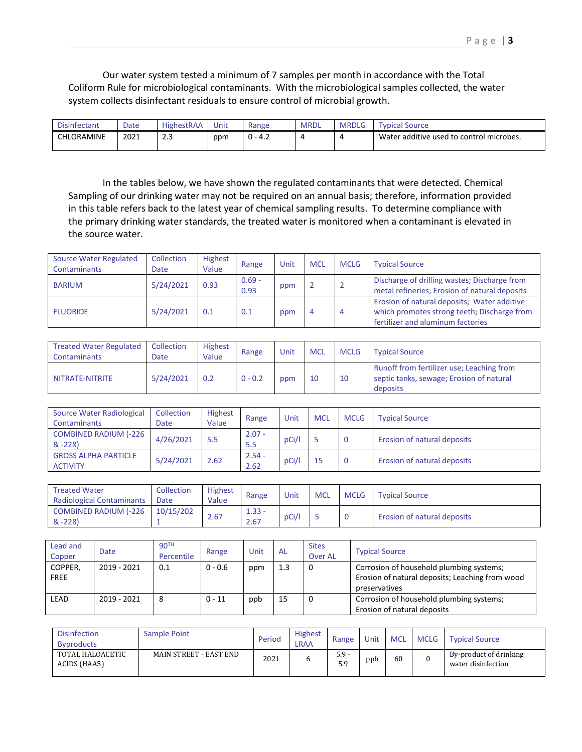Our water system tested a minimum of 7 samples per month in accordance with the Total Coliform Rule for microbiological contaminants. With the microbiological samples collected, the water system collects disinfectant residuals to ensure control of microbial growth.

| Disinfectant | Date | <b>HighestRAA</b>            | Unit | Range      | <b>MRDL</b> | <b>MRDLG</b> | <b>vpical</b><br>Source                  |
|--------------|------|------------------------------|------|------------|-------------|--------------|------------------------------------------|
| CHLORAMINE   | 2021 | $\sim$ $\sim$<br>۔۔۔۔<br>___ | ppm  | 0 -<br>4.4 |             |              | Water additive used to control microbes. |

In the tables below, we have shown the regulated contaminants that were detected. Chemical Sampling of our drinking water may not be required on an annual basis; therefore, information provided in this table refers back to the latest year of chemical sampling results. To determine compliance with the primary drinking water standards, the treated water is monitored when a contaminant is elevated in the source water.

| <b>Source Water Regulated</b><br>Contaminants | Collection<br>Date | <b>Highest</b><br>Value | Range            | Unit | <b>MCL</b> | <b>MCLG</b> | <b>Typical Source</b>                                                                                                           |
|-----------------------------------------------|--------------------|-------------------------|------------------|------|------------|-------------|---------------------------------------------------------------------------------------------------------------------------------|
| <b>BARIUM</b>                                 | 5/24/2021          | 0.93                    | $0.69 -$<br>0.93 | ppm  |            |             | Discharge of drilling wastes; Discharge from<br>metal refineries; Erosion of natural deposits                                   |
| <b>FLUORIDE</b>                               | 5/24/2021          | 0.1                     | 0.1              | ppm  | 4          | -4          | Erosion of natural deposits; Water additive<br>which promotes strong teeth; Discharge from<br>fertilizer and aluminum factories |

| <b>Treated Water Regulated</b><br><b>Contaminants</b> | Collection<br>Date | Highest<br>Value | Range     | Unit | <b>MCL</b> | <b>MCLG</b> | <b>Typical Source</b>                                                                             |
|-------------------------------------------------------|--------------------|------------------|-----------|------|------------|-------------|---------------------------------------------------------------------------------------------------|
| NITRATE-NITRITE                                       | 5/24/2021          | 0.2              | $0 - 0.2$ | ppm  | 10         | 10          | Runoff from fertilizer use; Leaching from<br>septic tanks, sewage; Erosion of natural<br>deposits |

| Source Water Radiological<br>Contaminants      | Collection<br>Date | <b>Highest</b><br>Value | Range            | Unit  | <b>MCL</b> | <b>MCLG</b> | <b>Typical Source</b>       |
|------------------------------------------------|--------------------|-------------------------|------------------|-------|------------|-------------|-----------------------------|
| <b>COMBINED RADIUM (-226</b><br>$& -228$       | 4/26/2021          | 5.5                     | $2.07 -$<br>5.5  | pCi/l |            | $\Omega$    | Erosion of natural deposits |
| <b>GROSS ALPHA PARTICLE</b><br><b>ACTIVITY</b> | 5/24/2021          | 2.62                    | $2.54 -$<br>2.62 | pCi/l |            |             | Erosion of natural deposits |

| <b>Treated Water</b><br><b>Radiological Contaminants</b> | Collection<br>Date | <b>Highest</b><br>Value | Range            | Unit  | <b>MCL</b> | <b>MCLG</b> | <b>Typical Source</b>              |
|----------------------------------------------------------|--------------------|-------------------------|------------------|-------|------------|-------------|------------------------------------|
| <b>COMBINED RADIUM (-226</b><br>$& -228$                 | 10/15/202          | 2.67                    | $1.33 -$<br>2.67 | pCi/l |            |             | <b>Erosion of natural deposits</b> |

| Lead and<br>Copper     | Date        | 90 <sup>TH</sup><br>Percentile | Range     | Unit | <b>AL</b> | <b>Sites</b><br><b>Over AL</b> | <b>Typical Source</b>                                                                                        |
|------------------------|-------------|--------------------------------|-----------|------|-----------|--------------------------------|--------------------------------------------------------------------------------------------------------------|
| COPPER,<br><b>FREE</b> | 2019 - 2021 | 0.1                            | $0 - 0.6$ | ppm  | 1.3       | 0                              | Corrosion of household plumbing systems;<br>Erosion of natural deposits; Leaching from wood<br>preservatives |
| LEAD                   | 2019 - 2021 |                                | $0 - 11$  | ppb  | 15        | 0                              | Corrosion of household plumbing systems;<br>Erosion of natural deposits                                      |

| <b>Disinfection</b><br><b>Byproducts</b> | Sample Point           | Period | <b>Highest</b><br>LRAA | Range          | Unit | <b>MCL</b> | MCLG | <b>Typical Source</b>                        |
|------------------------------------------|------------------------|--------|------------------------|----------------|------|------------|------|----------------------------------------------|
| TOTAL HALOACETIC<br>ACIDS (HAA5)         | MAIN STREET - EAST END | 2021   |                        | $5.9 -$<br>5.9 | ppb  | 60         |      | By-product of drinking<br>water disinfection |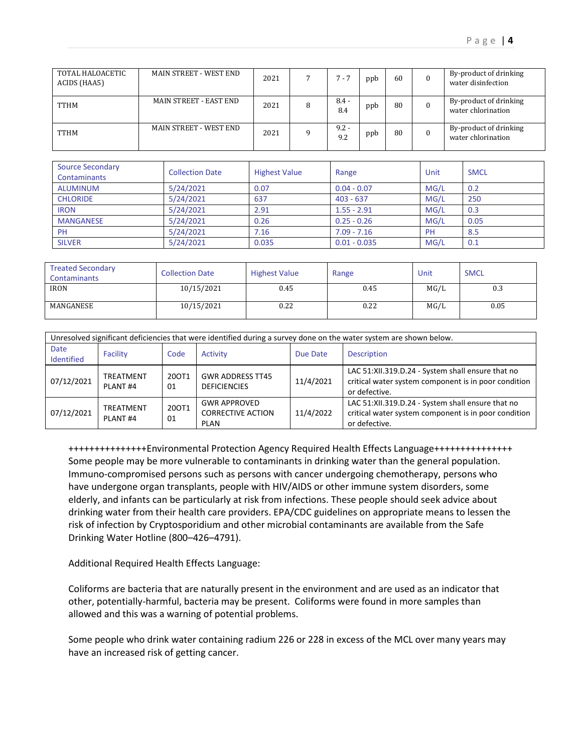| TOTAL HALOACETIC<br>ACIDS (HAA5) | MAIN STREET - WEST END | 2021 | $7 - 7$        | ppb | 60 | By-product of drinking<br>water disinfection |
|----------------------------------|------------------------|------|----------------|-----|----|----------------------------------------------|
| <b>TTHM</b>                      | MAIN STREET - EAST END | 2021 | $8.4 -$<br>8.4 | ppb | 80 | By-product of drinking<br>water chlorination |
| <b>TTHM</b>                      | MAIN STREET - WEST END | 2021 | $9.2 -$<br>9.2 | ppb | 80 | By-product of drinking<br>water chlorination |

| <b>Source Secondary</b><br><b>Contaminants</b> | <b>Collection Date</b> | <b>Highest Value</b> | Range          | Unit | <b>SMCL</b> |
|------------------------------------------------|------------------------|----------------------|----------------|------|-------------|
| ALUMINUM                                       | 5/24/2021              | 0.07                 | $0.04 - 0.07$  | MG/L | 0.2         |
| <b>CHLORIDE</b>                                | 5/24/2021              | 637                  | $403 - 637$    | MG/L | 250         |
| <b>IRON</b>                                    | 5/24/2021              | 2.91                 | $1.55 - 2.91$  | MG/L | 0.3         |
| <b>MANGANESE</b>                               | 5/24/2021              | 0.26                 | $0.25 - 0.26$  | MG/L | 0.05        |
| <b>PH</b>                                      | 5/24/2021              | 7.16                 | $7.09 - 7.16$  | PH   | 8.5         |
| <b>SILVER</b>                                  | 5/24/2021              | 0.035                | $0.01 - 0.035$ | MG/L | 0.1         |

| <b>Treated Secondary</b><br>Contaminants | <b>Collection Date</b> | <b>Highest Value</b> | Range | Unit | <b>SMCL</b> |
|------------------------------------------|------------------------|----------------------|-------|------|-------------|
| <b>IRON</b>                              | 10/15/2021             | 0.45                 | 0.45  | MG/L | 0.3         |
| MANGANESE                                | 10/15/2021             | 0.22                 | 0.22  | MG/L | 0.05        |

| Unresolved significant deficiencies that were identified during a survey done on the water system are shown below. |                                  |             |                                                                |           |                                                                                                                            |
|--------------------------------------------------------------------------------------------------------------------|----------------------------------|-------------|----------------------------------------------------------------|-----------|----------------------------------------------------------------------------------------------------------------------------|
| Date<br>Identified                                                                                                 | Facility                         | Code        | <b>Activity</b>                                                | Due Date  | <b>Description</b>                                                                                                         |
| 07/12/2021                                                                                                         | TREATMENT<br>PLANT <sub>#4</sub> | 20OT1<br>01 | <b>GWR ADDRESS TT45</b><br><b>DEFICIENCIES</b>                 | 11/4/2021 | LAC 51:XII.319.D.24 - System shall ensure that no<br>critical water system component is in poor condition<br>or defective. |
| 07/12/2021                                                                                                         | TREATMENT<br>PLANT <sub>#4</sub> | 200T1<br>01 | <b>GWR APPROVED</b><br><b>CORRECTIVE ACTION</b><br><b>PLAN</b> | 11/4/2022 | LAC 51:XII.319.D.24 - System shall ensure that no<br>critical water system component is in poor condition<br>or defective. |

+++++++++++++++Environmental Protection Agency Required Health Effects Language+++++++++++++++ Some people may be more vulnerable to contaminants in drinking water than the general population. Immuno-compromised persons such as persons with cancer undergoing chemotherapy, persons who have undergone organ transplants, people with HIV/AIDS or other immune system disorders, some elderly, and infants can be particularly at risk from infections. These people should seek advice about drinking water from their health care providers. EPA/CDC guidelines on appropriate means to lessen the risk of infection by Cryptosporidium and other microbial contaminants are available from the Safe Drinking Water Hotline (800–426–4791).

Additional Required Health Effects Language:

Coliforms are bacteria that are naturally present in the environment and are used as an indicator that other, potentially-harmful, bacteria may be present. Coliforms were found in more samples than allowed and this was a warning of potential problems.

Some people who drink water containing radium 226 or 228 in excess of the MCL over many years may have an increased risk of getting cancer.